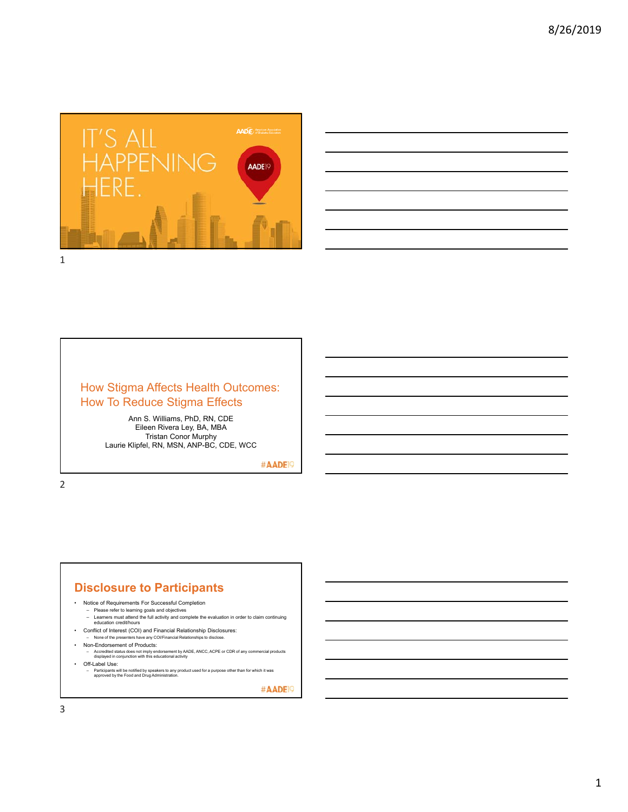



# How Stigma Affects Health Outcomes: How To Reduce Stigma Effects

Ann S. Williams, PhD, RN, CDE Eileen Rivera Ley, BA, MBA Tristan Conor Murphy Laurie Klipfel, RN, MSN, ANP-BC, CDE, WCC

#AADE<sup>19</sup>

2

# **Disclosure to Participants**

- Notice of Requirements For Successful Completion
	-
	- Please refer to learning goals and objectives Learners must attend the full activity and complete the evaluation in order to claim continuing education credit/hours
- Conflict of Interest (COI) and Financial Relationship Disclosures: – None of the presenters have any COI/Financial Relationships to disclose.
	- Non-Endorsement of Products:
	- Accredited status does not imply endorsement by AADE, ANCC, ACPE or CDR of any commercial products displayed in conjunction with this educational activity
- Off-Label Use:
	- Participants will be notified by speakers to any product used for a purpose other than for which it was approved by the Food and Drug Administration.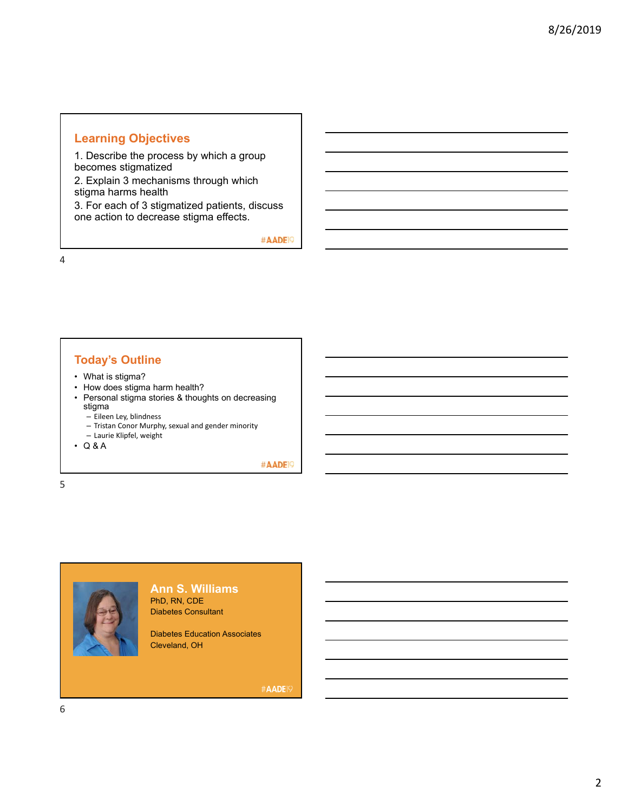# **Learning Objectives**

1. Describe the process by which a group becomes stigmatized

2. Explain 3 mechanisms through which stigma harms health

3. For each of 3 stigmatized patients, discuss one action to decrease stigma effects.

#AADE<sup>19</sup>

4

# **Today's Outline**

- What is stigma?
- How does stigma harm health?
- Personal stigma stories & thoughts on decreasing stigma
	- Eileen Ley, blindness
	- Tristan Conor Murphy, sexual and gender minority
	- Laurie Klipfel, weight
- Q & A

#AADE<sup>19</sup>

5



**Ann S. Williams** PhD, RN, CDE Diabetes Consultant

Diabetes Education Associates Cleveland, OH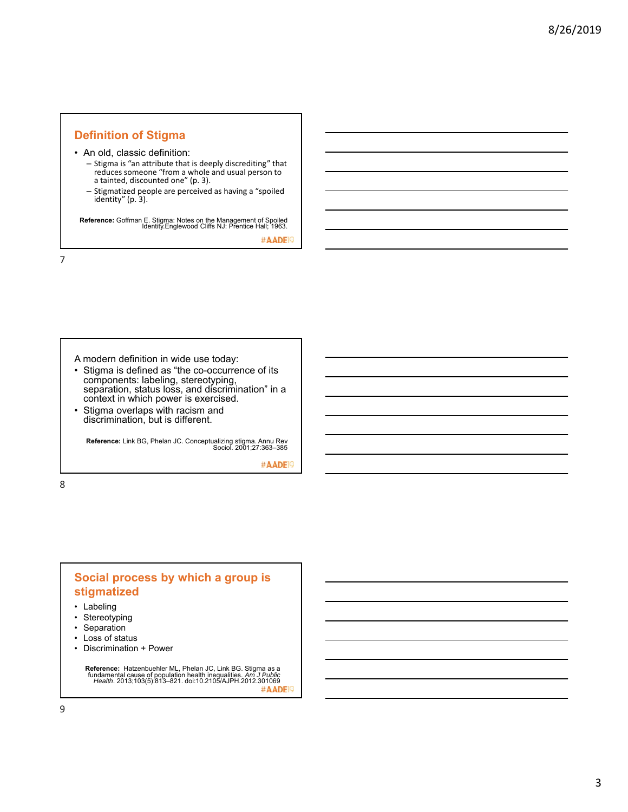# **Definition of Stigma**

• An old, classic definition:

- Stigma is "an attribute that is deeply discrediting" that reduces someone "from a whole and usual person to a tainted, discounted one" (p. 3).
- Stigmatized people are perceived as having a "spoiled identity" (p. 3).

**Reference:** Goffman E. Stigma: Notes on the Management of Spoiled Identity.Englewood Cliffs NJ: Prentice Hall; 1963.

#AADE<sup>1</sup>

7

A modern definition in wide use today:

- Stigma is defined as "the co-occurrence of its components: labeling, stereotyping, separation, status loss, and discrimination" in a context in which power is exercised.
- Stigma overlaps with racism and discrimination, but is different.

**Reference:** Link BG, Phelan JC. Conceptualizing stigma. Annu Rev Sociol. 2001;27:363–385

#AADE<sup>19</sup>

8

# **Social process by which a group is stigmatized**

- Labeling
- Stereotyping
- Separation
- Loss of status
- Discrimination + Power

**Reference:** Hatzenbuehler ML, Phelan JC, Link BG. Stigma as a fundamental cause of population health inequalities. *Am J Public Health*. 2013;103(5):813–821. doi:10.2105/AJPH.2012.301069 #AADE<sup>1</sup>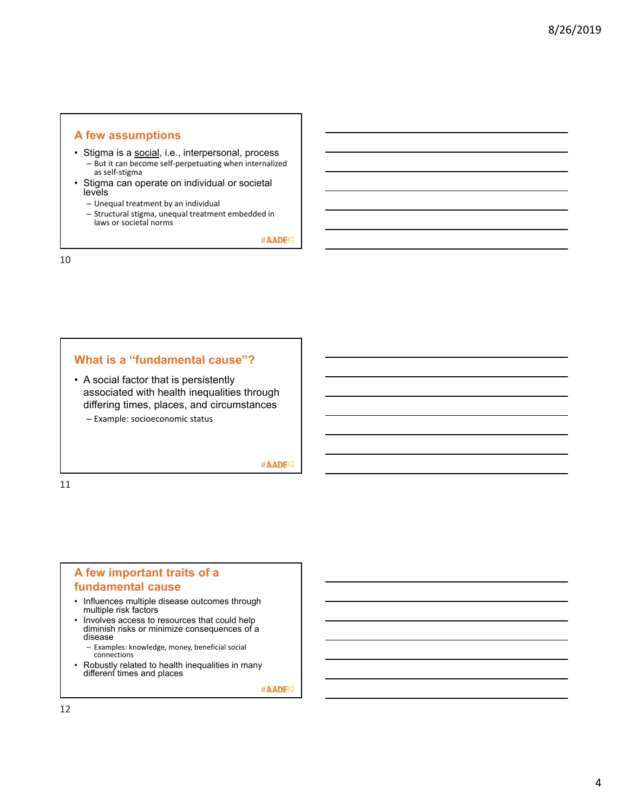## **A few assumptions**

- Stigma is a social, i.e., interpersonal, process – But it can become self‐perpetuating when internalized as self‐stigma
- Stigma can operate on individual or societal levels
	- Unequal treatment by an individual
	- Structural stigma, unequal treatment embedded in laws or societal norms

#AADE<sup>19</sup>

10

## **What is a "fundamental cause"?**

• A social factor that is persistently associated with health inequalities through differing times, places, and circumstances – Example: socioeconomic status

## #AADE<sup>19</sup>

11

# **A few important traits of a fundamental cause**

- Influences multiple disease outcomes through multiple risk factors
- Involves access to resources that could help diminish risks or minimize consequences of a disease
	- Examples: knowledge, money, beneficial social connections
- Robustly related to health inequalities in many different times and places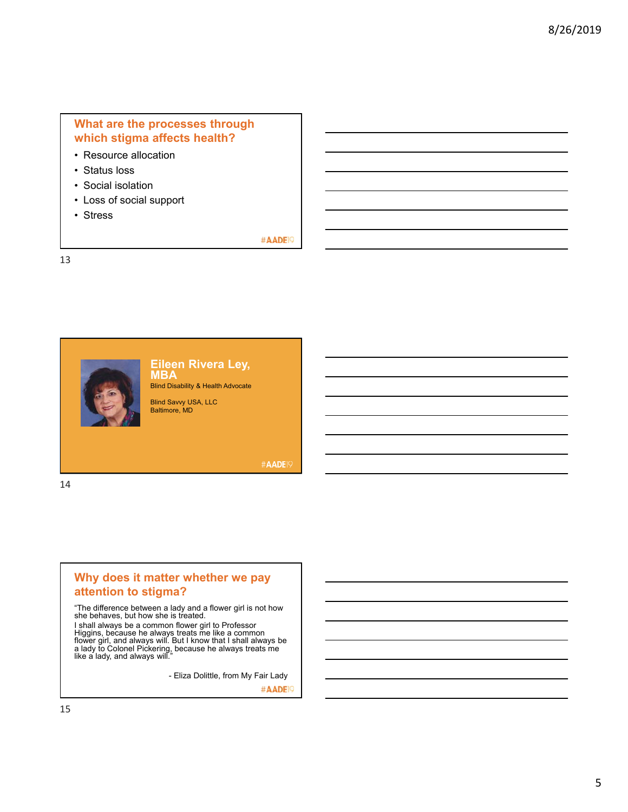# **What are the processes through which stigma affects health?**

- Resource allocation
- Status loss
- Social isolation
- Loss of social support
- Stress

### #AADE<sup>19</sup>

13



## **Eileen Rivera Ley, MBA**

Blind Disability & Health Advocate

Blind Savvy USA, LLC Baltimore, MD

**#AADE19** 

14

# **Why does it matter whether we pay attention to stigma?**

"The difference between a lady and a flower girl is not how she behaves, but how she is treated.

I shall always be a common flower girl to Professor<br>Higgins, because he always treats me like a common<br>flower girl, and always will. But I know that I shall always be<br>a lady to Colonel Pickering, because he always treats m

- Eliza Dolittle, from My Fair Lady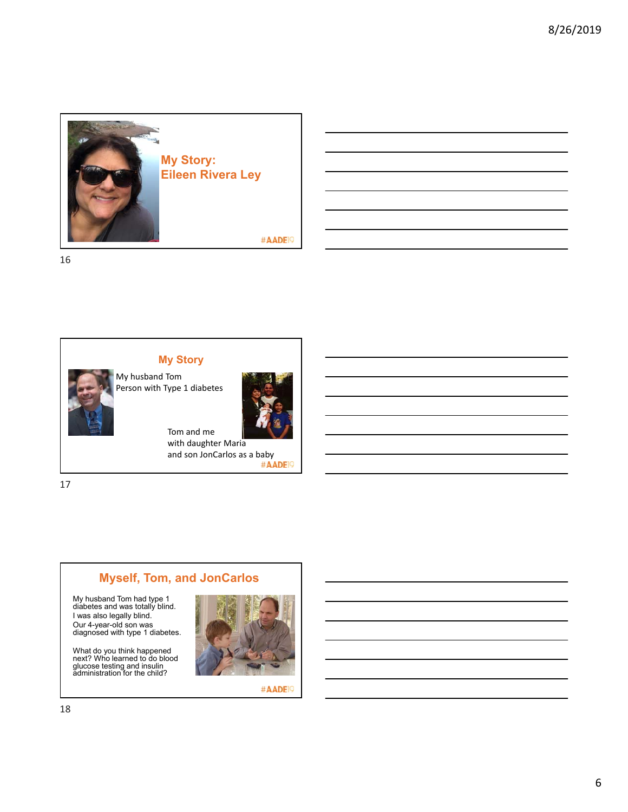



My husband Tom Person with Type 1 diabetes

**My Story**



Tom and me with daughter Maria and son JonCarlos as a baby<br>#AADEP

17

# **Myself, Tom, and JonCarlos**

My husband Tom had type 1 diabetes and was totally blind. I was also legally blind. Our 4-year-old son was diagnosed with type 1 diabetes.

What do you think happened next? Who learned to do blood glucose testing and insulin administration for the child?

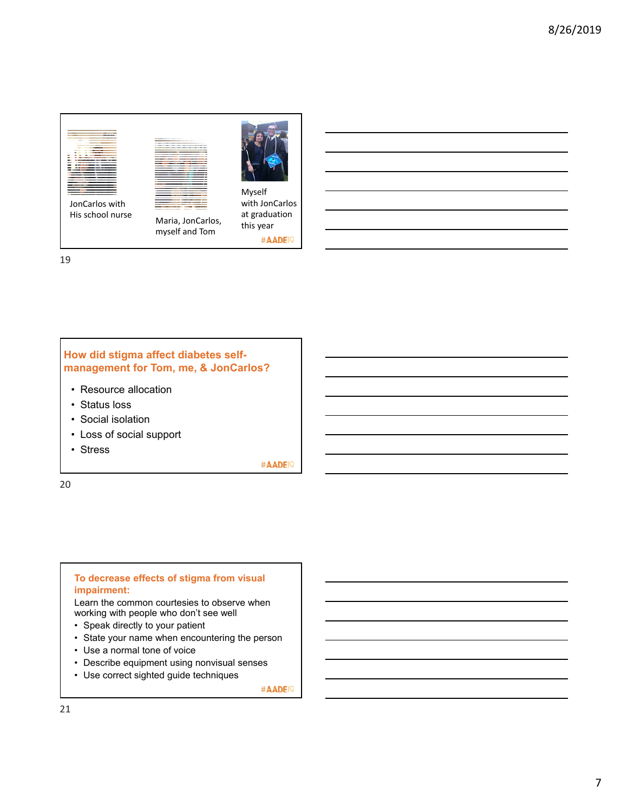



Maria, JonCarlos, myself and Tom



Myself with JonCarlos at graduation this year #AADE<sup>19</sup>

# **How did stigma affect diabetes selfmanagement for Tom, me, & JonCarlos?**

- Resource allocation
- Status loss
- Social isolation
- Loss of social support
- Stress

#AADE<sup>19</sup>

20

# **To decrease effects of stigma from visual impairment:** Learn the common courtesies to observe when working with people who don't see well

- Speak directly to your patient
- State your name when encountering the person
- Use a normal tone of voice
- Describe equipment using nonvisual senses
- Use correct sighted guide techniques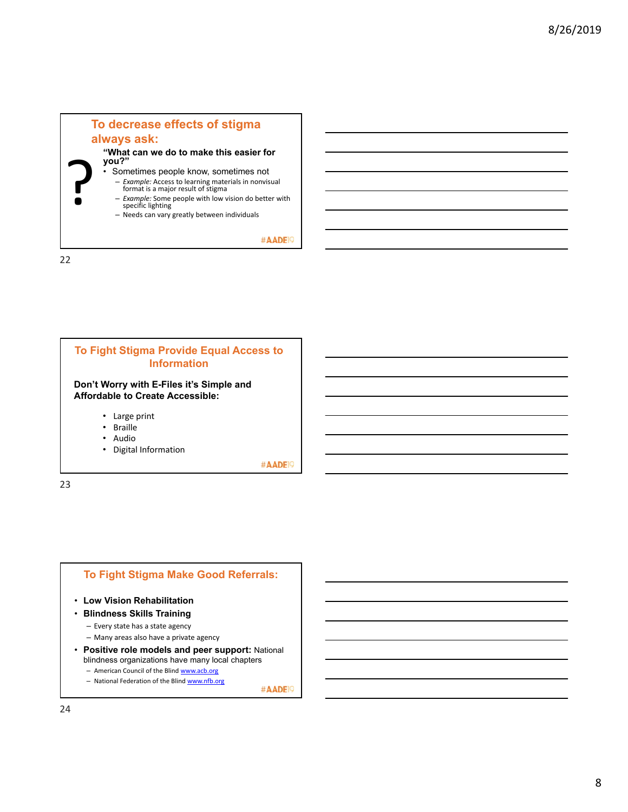



# **To Fight Stigma Make Good Referrals:**

- **Low Vision Rehabilitation**
- **Blindness Skills Training**
	- Every state has a state agency
	- Many areas also have a private agency
- **Positive role models and peer support:** National blindness organizations have many local chapters
	- American Council of the Blind www.acb.org
	- National Federation of the Blind www.nfb.org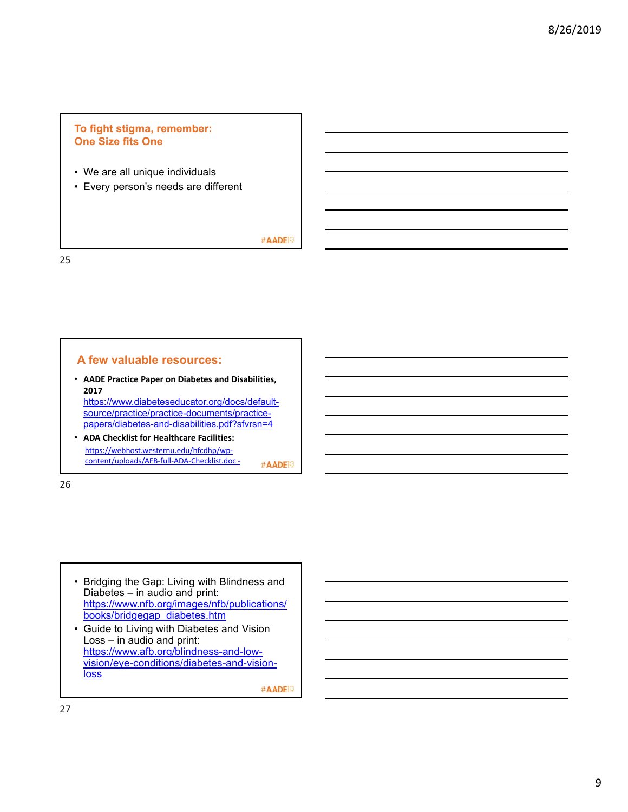# **To fight stigma, remember: One Size fits One**

- We are all unique individuals
- Every person's needs are different

#AADE<sup>19</sup>

25

## **A few valuable resources:**

• **AADE Practice Paper on Diabetes and Disabilities, 2017**  https://www.diabeteseducator.org/docs/defaultsource/practice/practice-documents/practice-

papers/diabetes-and-disabilities.pdf?sfvrsn=4

• **ADA Checklist for Healthcare Facilities:** https://webhost.westernu.edu/hfcdhp/wp‐ content/uploads/AFB‐full‐ADA‐Checklist.doc ‐ #AADE<sup>19</sup>

26

• Bridging the Gap: Living with Blindness and Diabetes – in audio and print: https://www.nfb.org/images/nfb/publications/ books/bridgegap\_diabetes.htm

• Guide to Living with Diabetes and Vision Loss – in audio and print: https://www.afb.org/blindness-and-lowvision/eye-conditions/diabetes-and-vision**loss**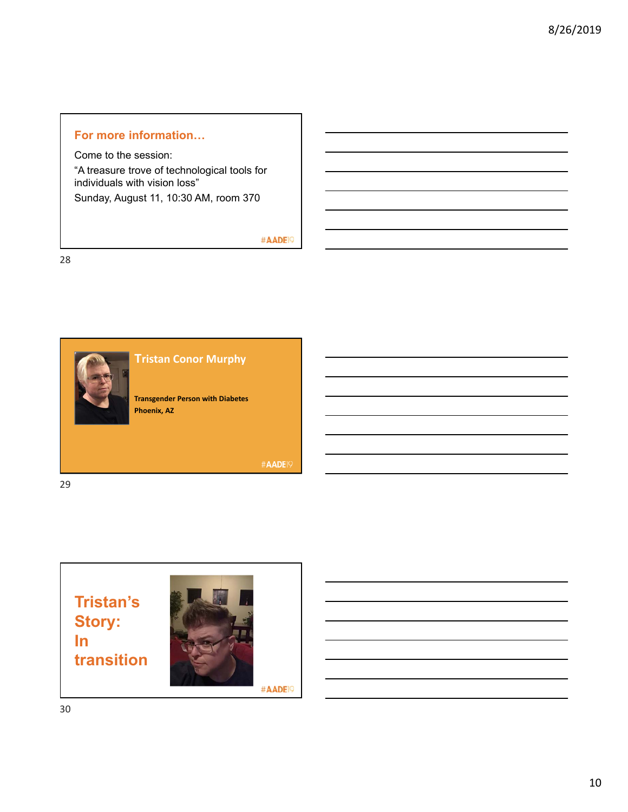# **For more information…**

Come to the session: "A treasure trove of technological tools for individuals with vision loss" Sunday, August 11, 10:30 AM, room 370

# #AADE<sup>19</sup>





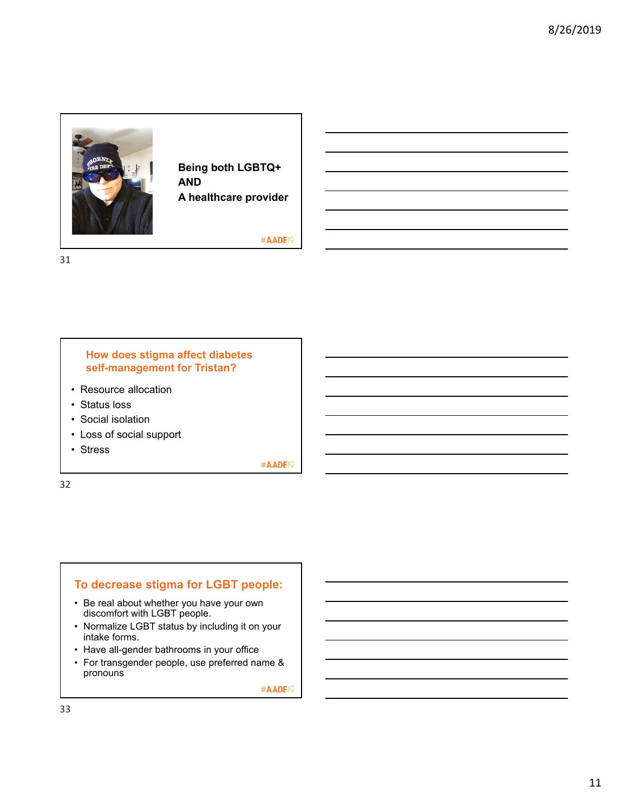

**Being both LGBTQ+ AND A healthcare provider**

#AADE<sup>19</sup>

31

## **How does stigma affect diabetes self-management for Tristan?**

- Resource allocation
- Status loss
- Social isolation
- Loss of social support
- Stress

#AADE<sup>19</sup>

32

# **To decrease stigma for LGBT people:**

- Be real about whether you have your own discomfort with LGBT people.
- Normalize LGBT status by including it on your intake forms.
- Have all-gender bathrooms in your office
- For transgender people, use preferred name & pronouns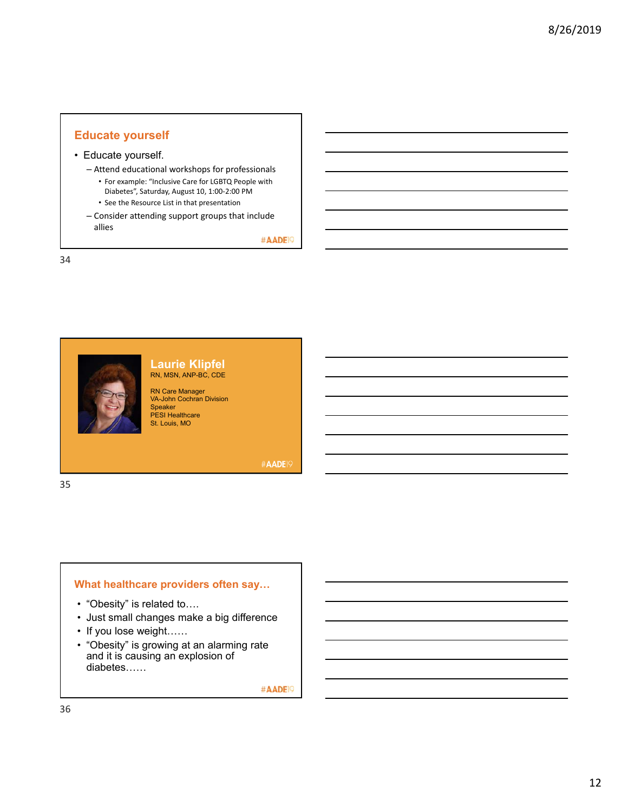# **Educate yourself**

#### • Educate yourself.

– Attend educational workshops for professionals

- For example: "Inclusive Care for LGBTQ People with Diabetes", Saturday, August 10, 1:00‐2:00 PM
- See the Resource List in that presentation
- Consider attending support groups that include allies

#AADE<sup>19</sup>

34



#### **Laurie Klipfel** RN, MSN, ANP-BC, CDE

RN Care Manager VA-John Cochran Division Speaker PESI Healthcare St. Louis, MO

**#AADE19** 

# **What healthcare providers often say…**

- "Obesity" is related to….
- Just small changes make a big difference
- If you lose weight……
- "Obesity" is growing at an alarming rate and it is causing an explosion of diabetes……

#AADE<sup>19</sup>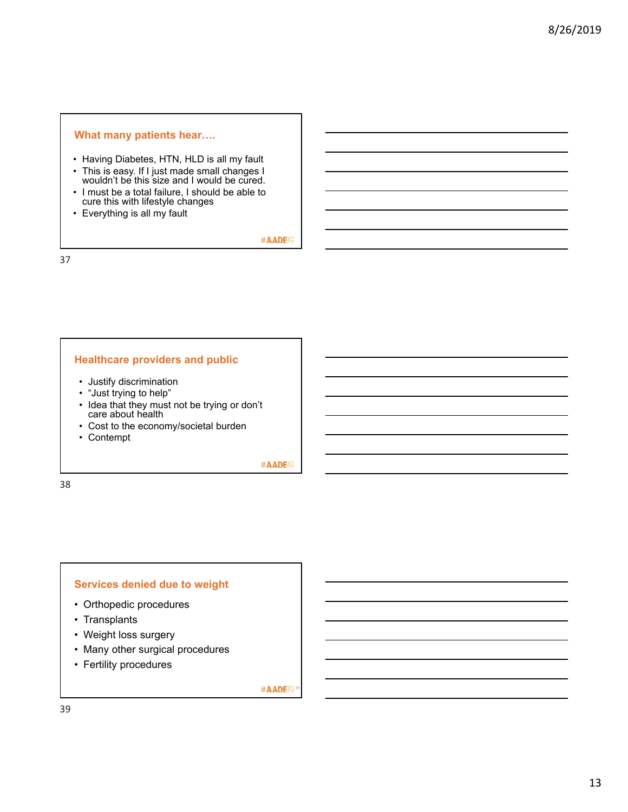#### **What many patients hear….**

- Having Diabetes, HTN, HLD is all my fault
- This is easy. If I just made small changes I wouldn't be this size and I would be cured.
- I must be a total failure, I should be able to cure this with lifestyle changes
- Everything is all my fault

#AADE<sup>19</sup>

37

## **Healthcare providers and public**

- Justify discrimination
- "Just trying to help"
- Idea that they must not be trying or don't care about health
- Cost to the economy/societal burden
- Contempt

#AADE<sup>19</sup>

38

#### **Services denied due to weight**

- Orthopedic procedures
- Transplants
- Weight loss surgery
- Many other surgical procedures
- Fertility procedures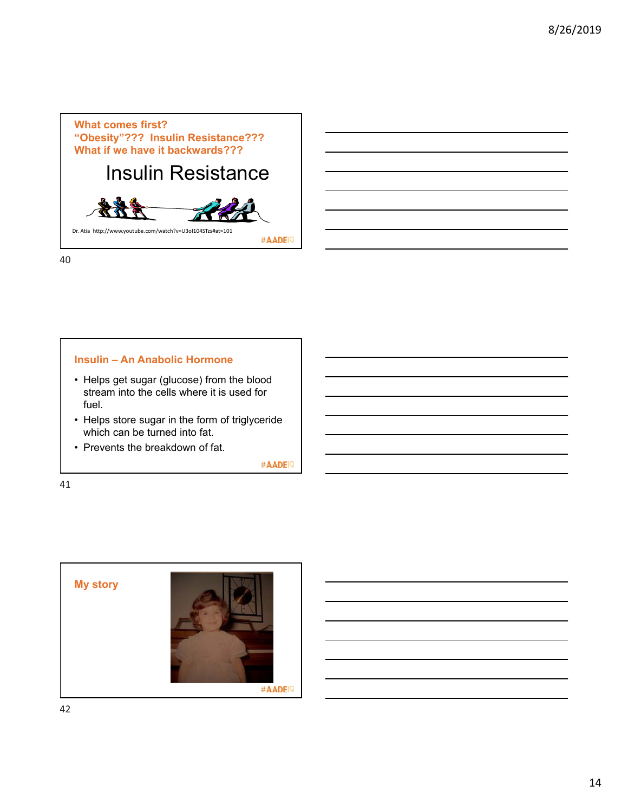

### **Insulin – An Anabolic Hormone**

- Helps get sugar (glucose) from the blood stream into the cells where it is used for fuel.
- Helps store sugar in the form of triglyceride which can be turned into fat.
- Prevents the breakdown of fat.

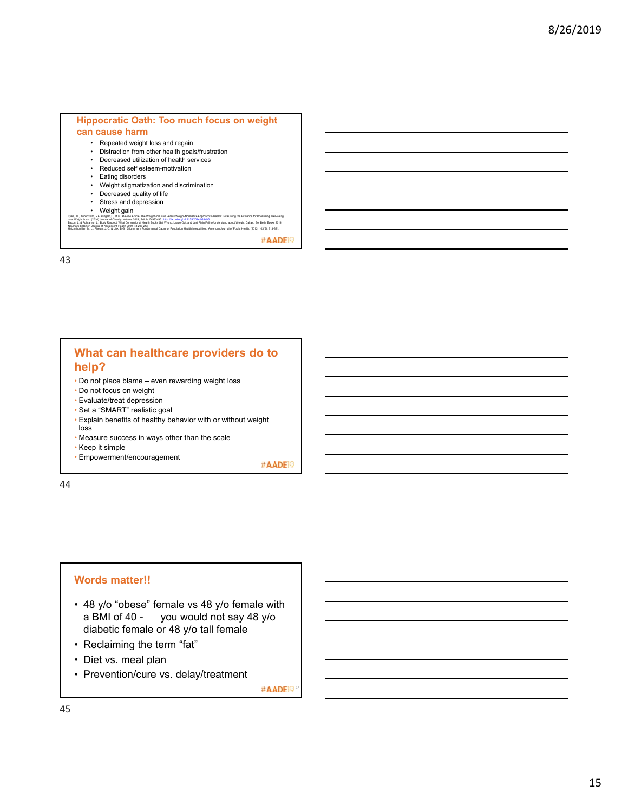#### **Hippocratic Oath: Too much focus on weight can cause harm**

- Repeated weight loss and regain • Distraction from other health goals/frustration
- Decreased utilization of health services
- Reduced self esteem-motivation
- Eating disorders
- Weight stigmatization and discrimination
- Decreased quality of life
- Stress and depression
- Weight gain

Tyle, TL, Annunsia, RA, Bugard, et al. Review Artist: The Weigh-Rostown Integration of Sphanith Evaluating the Evidence for Prioritising Weil-Being<br>Beam, L. A. Annuncia, L. Boby Responsibles, 2014, Rostown Back Committee (

#AADE<sup>19</sup>

43

# **What can healthcare providers do to help?**

- Do not place blame even rewarding weight loss
- Do not focus on weight
- Evaluate/treat depression
- Set a "SMART" realistic goal
- Explain benefits of healthy behavior with or without weight loss
- Measure success in ways other than the scale
- Keep it simple

• Empowerment/encouragement #AADEI9

44

#### **Words matter!!**

- 48 y/o "obese" female vs 48 y/o female with a BMI of 40 - you would not say 48 y/o diabetic female or 48 y/o tall female
- Reclaiming the term "fat"
- Diet vs. meal plan
- Prevention/cure vs. delay/treatment